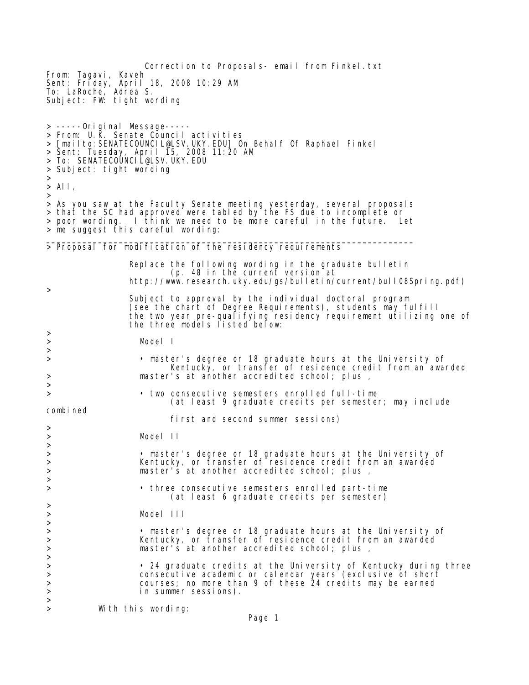Correction to Proposals- email from Finkel.txt From: Tagavi, Kaveh Sent: Friday, April 18, 2008 10:29 AM To: LaRoche, Adrea S. Subject: FW: tight wording > -----Original Message----- > From: U.K. Senate Council activities > [mailto: SENATECOUNCIL@LSV.UKY.EDU] On Behalf Of Raphael Finkel > Sent: Tuesday, April 15, 2008 11:20 AM > To: SENATECOUNCIL@LSV.UKY.EDU > Subject: tight wording  $>$  $>$  All,  $>$ > As you saw at the Faculty Senate meeting yesterday, several proposals > that the SC had approved were tabled by the FS due to incomplete or > poor wording. I think we need to be more careful in the future. Let > me suggest this careful wording: \_\_\_\_\_\_\_\_\_\_\_\_\_\_\_\_\_\_\_\_\_\_\_\_\_\_\_\_\_\_\_\_\_\_\_\_\_\_\_\_\_\_\_\_\_\_\_\_\_\_\_\_\_\_\_\_\_\_\_\_\_\_\_\_\_\_\_\_\_\_\_ > Proposal for modification of the residency requirements Replace the following wording in the graduate bulletin (p. 48 in the current version at http://www.research.uky.edu/gs/bulletin/current/bull08Spring.pdf) > Subject to approval by the individual doctoral program (see the chart of Degree Requirements), students may fulfill the two year pre-qualifying residency requirement utilizing one of the three models listed below: > > Model I > > • master's degree or 18 graduate hours at the University of Kentucky, or transfer of residence credit from an awarded > master's at another accredited school; plus , > > • two consecutive semesters enrolled full-time (at least 9 graduate credits per semester; may include combi ned first and second summer sessions) > > Model II > > • master's degree or 18 graduate hours at the University of > Kentucky, or transfer of residence credit from an awarded > master's at another accredited school; plus , > > • three consecutive semesters enrolled part-time (at least 6 graduate credits per semester)  $\rm{>}$ > Model III > > • master's degree or 18 graduate hours at the University of > Kentucky, or transfer of residence credit from an awarded master's at another accredited school; plus, > > • 24 graduate credits at the University of Kentucky during three > consecutive academic or calendar years (exclusive of short > courses; no more than 9 of these 24 credits may be earned > in summer sessions). > > With this wording: